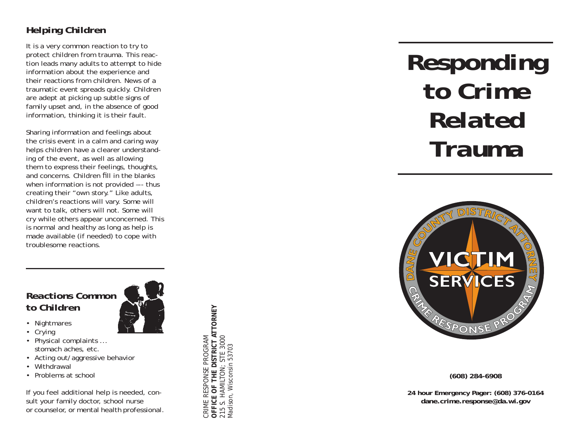#### *Helping Children*

It is a very common reaction to try to protect children from trauma. This reaction leads many adults to attempt to hide information about the experience and their reactions from children. News of a traumatic event spreads quickly. Children are adept at picking up subtle signs of family upset and, in the absence of good information, thinking it is their fault.

Sharing information and feelings about the crisis event in a calm and caring way helps children have a clearer understanding of the event, as well as allowing them to express their feelings, thoughts, and concerns. Children fill in the blanks when information is not provided --- thus creating their "own story." Like adults, children's reactions will vary. Some will want to talk, others will not. Some will cry while others appear unconcerned. This is normal and healthy as long as help is made available (if needed) to cope with troublesome reactions.

# *Reactions Common to Children*

- Nightmares
- Crying
- Physical complaints ... stomach aches, etc.
- Acting out/aggressive behavior
- Withdrawal
- Problems at school

If you feel additional help is needed, consult your family doctor, school nurse or counselor, or mental health professional.

OFFICE OF THE DISTRICT ATTORNEY<br>215 S. HAMILTON; STE 3000<br>Madison, Wisconsin 53703 **OFFICE OF THE DISTRICT ATTORNEY** CRIME RESPONSE PROGRAM 215 S. HAMILTON; STE 3000 CRIME RESPONSE PROGRAM Madison, Wisconsin 53703

# *Responding to Crime Related Trauma*



**(608) 284-6908**

**24 hour Emergency Pager: (608) 376-0164 dane.crime.response@da.wi.gov**